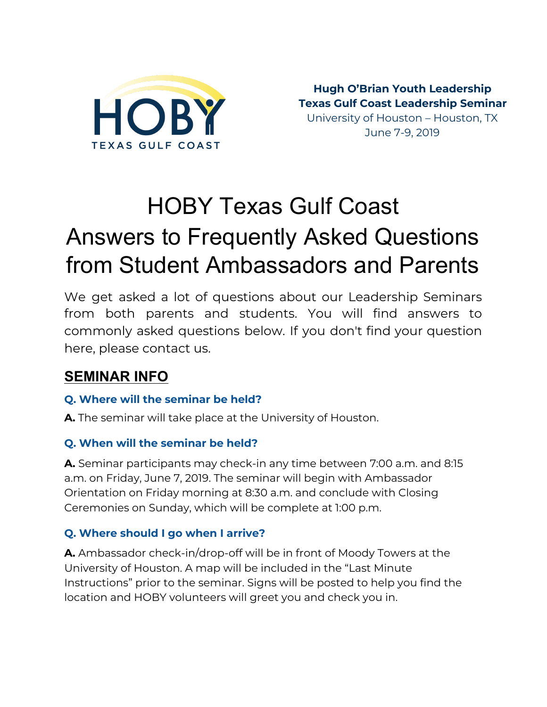

**Hugh O'Brian Youth Leadership Texas Gulf Coast Leadership Seminar** University of Houston – Houston, TX June 7-9, 2019

# HOBY Texas Gulf Coast Answers to Frequently Asked Questions from Student Ambassadors and Parents

We get asked a lot of questions about our Leadership Seminars from both parents and students. You will find answers to commonly asked questions below. If you don't find your question here, please contact us.

# **SEMINAR INFO**

#### **Q. Where will the seminar be held?**

**A.** The seminar will take place at the University of Houston.

#### **Q. When will the seminar be held?**

**A.** Seminar participants may check-in any time between 7:00 a.m. and 8:15 a.m. on Friday, June 7, 2019. The seminar will begin with Ambassador Orientation on Friday morning at 8:30 a.m. and conclude with Closing Ceremonies on Sunday, which will be complete at 1:00 p.m.

#### **Q. Where should I go when I arrive?**

**A.** Ambassador check-in/drop-off will be in front of Moody Towers at the University of Houston. A map will be included in the "Last Minute Instructions" prior to the seminar. Signs will be posted to help you find the location and HOBY volunteers will greet you and check you in.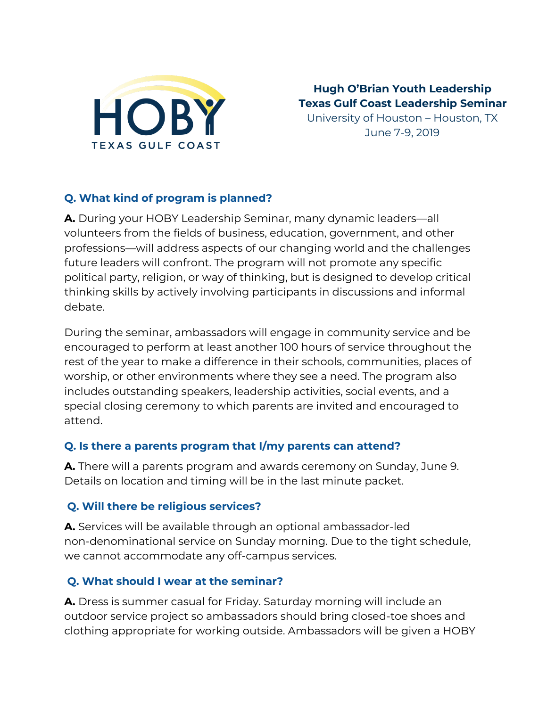

**Hugh O'Brian Youth Leadership Texas Gulf Coast Leadership Seminar**

University of Houston – Houston, TX June 7-9, 2019

#### **Q. What kind of program is planned?**

**A.** During your HOBY Leadership Seminar, many dynamic leaders—all volunteers from the fields of business, education, government, and other professions—will address aspects of our changing world and the challenges future leaders will confront. The program will not promote any specific political party, religion, or way of thinking, but is designed to develop critical thinking skills by actively involving participants in discussions and informal debate.

During the seminar, ambassadors will engage in community service and be encouraged to perform at least another 100 hours of service throughout the rest of the year to make a difference in their schools, communities, places of worship, or other environments where they see a need. The program also includes outstanding speakers, leadership activities, social events, and a special closing ceremony to which parents are invited and encouraged to attend.

#### **Q. Is there a parents program that I/my parents can attend?**

**A.** There will a parents program and awards ceremony on Sunday, June 9. Details on location and timing will be in the last minute packet.

#### **Q. Will there be religious services?**

**A.** Services will be available through an optional ambassador-led non-denominational service on Sunday morning. Due to the tight schedule, we cannot accommodate any off-campus services.

#### **Q. What should I wear at the seminar?**

**A.** Dress is summer casual for Friday. Saturday morning will include an outdoor service project so ambassadors should bring closed-toe shoes and clothing appropriate for working outside. Ambassadors will be given a HOBY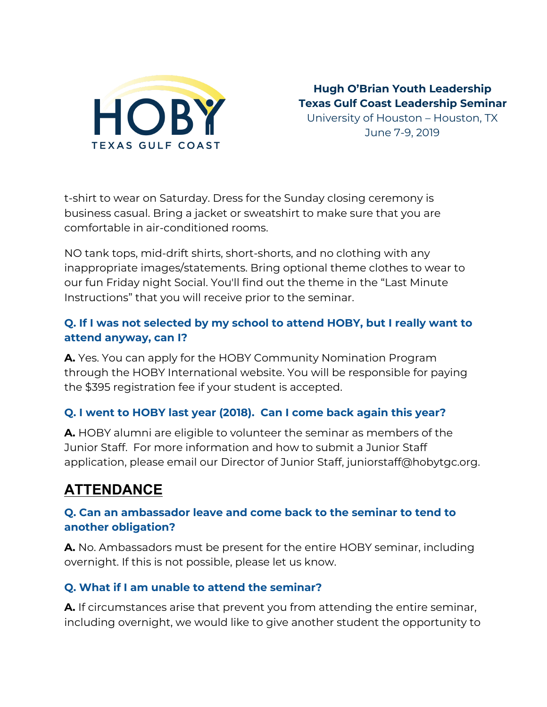

**Hugh O'Brian Youth Leadership Texas Gulf Coast Leadership Seminar** University of Houston – Houston, TX

June 7-9, 2019

t-shirt to wear on Saturday. Dress for the Sunday closing ceremony is business casual. Bring a jacket or sweatshirt to make sure that you are comfortable in air-conditioned rooms.

NO tank tops, mid-drift shirts, short-shorts, and no clothing with any inappropriate images/statements. Bring optional theme clothes to wear to our fun Friday night Social. You'll find out the theme in the "Last Minute Instructions" that you will receive prior to the seminar.

#### **Q. If I was not selected by my school to attend HOBY, but I really want to attend anyway, can I?**

**A.** Yes. You can apply for the HOBY Community Nomination Program through the HOBY International website. You will be responsible for paying the \$395 registration fee if your student is accepted.

#### **Q. I went to HOBY last year (2018). Can I come back again this year?**

**A.** HOBY alumni are eligible to volunteer the seminar as members of the Junior Staff. For more information and how to submit a Junior Staff application, please email our Director of Junior Staff, juniorstaff@hobytgc.org.

# **ATTENDANCE**

#### **Q. Can an ambassador leave and come back to the seminar to tend to another obligation?**

**A.** No. Ambassadors must be present for the entire HOBY seminar, including overnight. If this is not possible, please let us know.

#### **Q. What if I am unable to attend the seminar?**

**A.** If circumstances arise that prevent you from attending the entire seminar, including overnight, we would like to give another student the opportunity to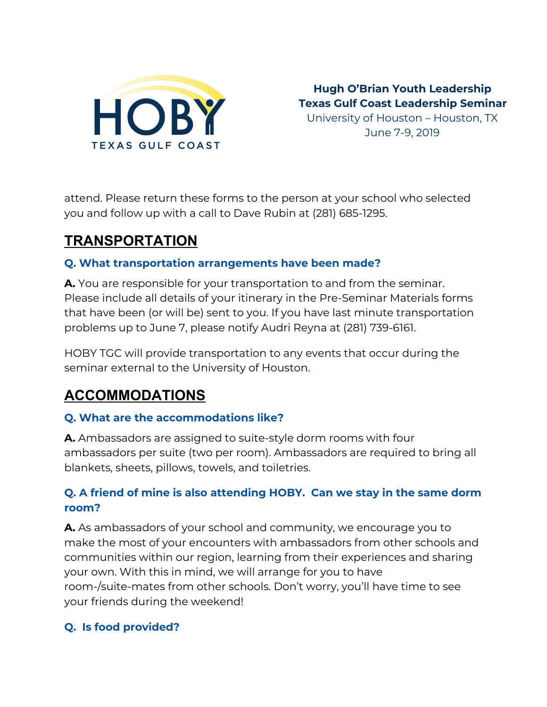

**Hugh O'Brian Youth Leadership Texas Gulf Coast Leadership Seminar** University of Houston – Houston, TX June 7-9, 2019

attend. Please return these forms to the person at your school who selected you and follow up with a call to Dave Rubin at (281) 685-1295.

# **TRANSPORTATION**

#### **Q. What transportation arrangements have been made?**

**A.** You are responsible for your transportation to and from the seminar. Please include all details of your itinerary in the Pre-Seminar Materials forms that have been (or will be) sent to you. If you have last minute transportation problems up to June 7, please notify Audri Reyna at (281) 739-6161.

HOBY TGC will provide transportation to any events that occur during the seminar external to the University of Houston.

# **ACCOMMODATIONS**

#### **Q. What are the accommodations like?**

**A.** Ambassadors are assigned to suite-style dorm rooms with four ambassadors per suite (two per room). Ambassadors are required to bring all blankets, sheets, pillows, towels, and toiletries.

#### **Q. A friend of mine is also attending HOBY. Can we stay in the same dorm room?**

**A.** As ambassadors of your school and community, we encourage you to make the most of your encounters with ambassadors from other schools and communities within our region, learning from their experiences and sharing your own. With this in mind, we will arrange for you to have room-/suite-mates from other schools. Don't worry, you'll have time to see your friends during the weekend!

#### **Q. Is food provided?**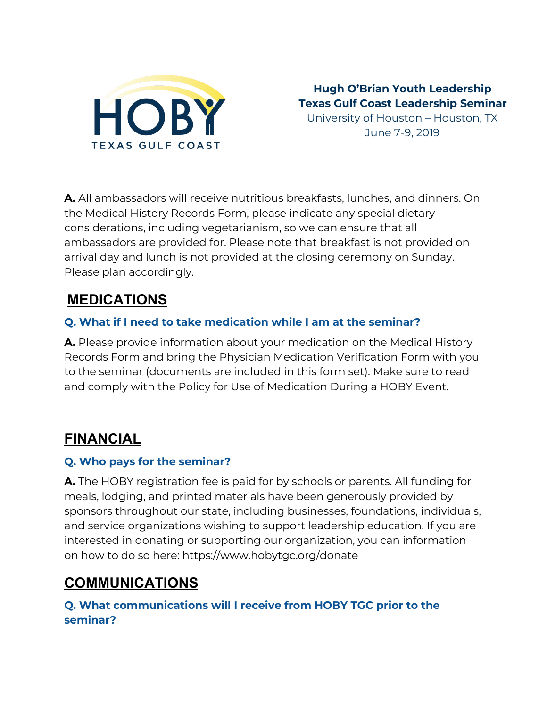

**Hugh O'Brian Youth Leadership Texas Gulf Coast Leadership Seminar** University of Houston – Houston, TX

June 7-9, 2019

**A.** All ambassadors will receive nutritious breakfasts, lunches, and dinners. On the Medical History Records Form, please indicate any special dietary considerations, including vegetarianism, so we can ensure that all ambassadors are provided for. Please note that breakfast is not provided on arrival day and lunch is not provided at the closing ceremony on Sunday. Please plan accordingly.

# **MEDICATIONS**

#### **Q. What if I need to take medication while I am at the seminar?**

**A.** Please provide information about your medication on the Medical History Records Form and bring the Physician Medication Verification Form with you to the seminar (documents are included in this form set). Make sure to read and comply with the Policy for Use of Medication During a HOBY Event.

### **FINANCIAL**

#### **Q. Who pays for the seminar?**

**A.** The HOBY registration fee is paid for by schools or parents. All funding for meals, lodging, and printed materials have been generously provided by sponsors throughout our state, including businesses, foundations, individuals, and service organizations wishing to support leadership education. If you are interested in donating or supporting our organization, you can information on how to do so here: https://www.hobytgc.org/donate

## **COMMUNICATIONS**

**Q. What communications will I receive from HOBY TGC prior to the seminar?**